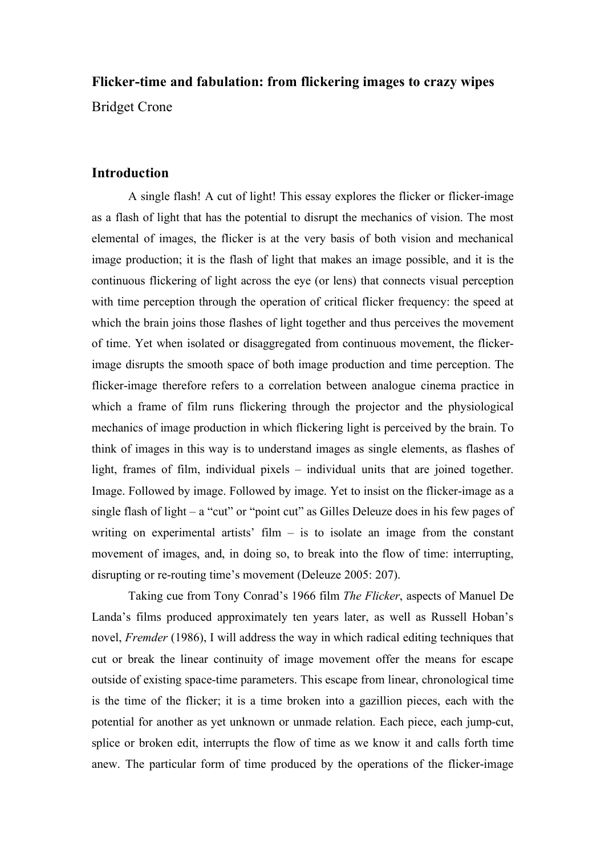# **Flicker-time and fabulation: from flickering images to crazy wipes** Bridget Crone

# **Introduction**

A single flash! A cut of light! This essay explores the flicker or flicker-image as a flash of light that has the potential to disrupt the mechanics of vision. The most elemental of images, the flicker is at the very basis of both vision and mechanical image production; it is the flash of light that makes an image possible, and it is the continuous flickering of light across the eye (or lens) that connects visual perception with time perception through the operation of critical flicker frequency: the speed at which the brain joins those flashes of light together and thus perceives the movement of time. Yet when isolated or disaggregated from continuous movement, the flickerimage disrupts the smooth space of both image production and time perception. The flicker-image therefore refers to a correlation between analogue cinema practice in which a frame of film runs flickering through the projector and the physiological mechanics of image production in which flickering light is perceived by the brain. To think of images in this way is to understand images as single elements, as flashes of light, frames of film, individual pixels – individual units that are joined together. Image. Followed by image. Followed by image. Yet to insist on the flicker-image as a single flash of light  $-$  a "cut" or "point cut" as Gilles Deleuze does in his few pages of writing on experimental artists' film  $-$  is to isolate an image from the constant movement of images, and, in doing so, to break into the flow of time: interrupting, disrupting or re-routing time's movement (Deleuze 2005: 207).

Taking cue from Tony Conrad's 1966 film *The Flicker*, aspects of Manuel De Landa's films produced approximately ten years later, as well as Russell Hoban's novel, *Fremder* (1986), I will address the way in which radical editing techniques that cut or break the linear continuity of image movement offer the means for escape outside of existing space-time parameters. This escape from linear, chronological time is the time of the flicker; it is a time broken into a gazillion pieces, each with the potential for another as yet unknown or unmade relation. Each piece, each jump-cut, splice or broken edit, interrupts the flow of time as we know it and calls forth time anew. The particular form of time produced by the operations of the flicker-image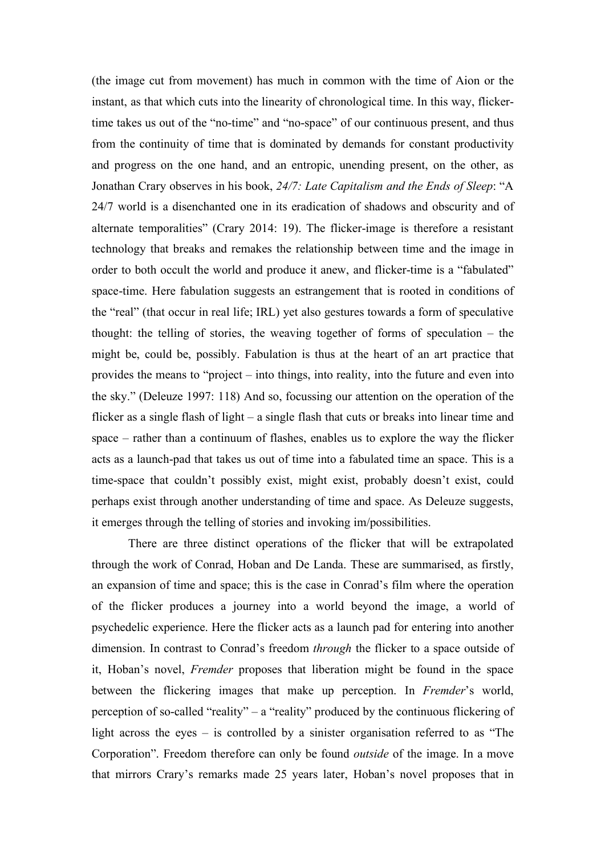(the image cut from movement) has much in common with the time of Aion or the instant, as that which cuts into the linearity of chronological time. In this way, flickertime takes us out of the "no-time" and "no-space" of our continuous present, and thus from the continuity of time that is dominated by demands for constant productivity and progress on the one hand, and an entropic, unending present, on the other, as Jonathan Crary observes in his book, *24/7: Late Capitalism and the Ends of Sleep*: "A 24/7 world is a disenchanted one in its eradication of shadows and obscurity and of alternate temporalities" (Crary 2014: 19). The flicker-image is therefore a resistant technology that breaks and remakes the relationship between time and the image in order to both occult the world and produce it anew, and flicker-time is a "fabulated" space-time. Here fabulation suggests an estrangement that is rooted in conditions of the "real" (that occur in real life; IRL) yet also gestures towards a form of speculative thought: the telling of stories, the weaving together of forms of speculation – the might be, could be, possibly. Fabulation is thus at the heart of an art practice that provides the means to "project – into things, into reality, into the future and even into the sky." (Deleuze 1997: 118) And so, focussing our attention on the operation of the flicker as a single flash of light – a single flash that cuts or breaks into linear time and space – rather than a continuum of flashes, enables us to explore the way the flicker acts as a launch-pad that takes us out of time into a fabulated time an space. This is a time-space that couldn't possibly exist, might exist, probably doesn't exist, could perhaps exist through another understanding of time and space. As Deleuze suggests, it emerges through the telling of stories and invoking im/possibilities.

There are three distinct operations of the flicker that will be extrapolated through the work of Conrad, Hoban and De Landa. These are summarised, as firstly, an expansion of time and space; this is the case in Conrad's film where the operation of the flicker produces a journey into a world beyond the image, a world of psychedelic experience. Here the flicker acts as a launch pad for entering into another dimension. In contrast to Conrad's freedom *through* the flicker to a space outside of it, Hoban's novel, *Fremder* proposes that liberation might be found in the space between the flickering images that make up perception. In *Fremder*'s world, perception of so-called "reality" – a "reality" produced by the continuous flickering of light across the eyes – is controlled by a sinister organisation referred to as "The Corporation". Freedom therefore can only be found *outside* of the image. In a move that mirrors Crary's remarks made 25 years later, Hoban's novel proposes that in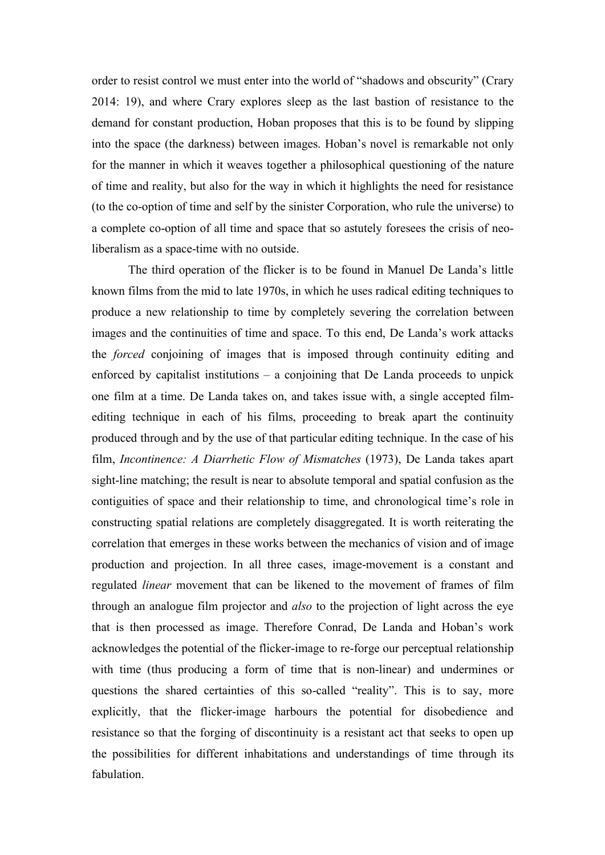order to resist control we must enter into the world of "shadows and obscurity" (Crary 2014: 19), and where Crary explores sleep as the last bastion of resistance to the demand for constant production, Hoban proposes that this is to be found by slipping into the space (the darkness) between images. Hoban's novel is remarkable not only for the manner in which it weaves together a philosophical questioning of the nature of time and reality, but also for the way in which it highlights the need for resistance (to the co-option of time and self by the sinister Corporation, who rule the universe) to a complete co-option of all time and space that so astutely foresees the crisis of neoliberalism as a space-time with no outside.

The third operation of the flicker is to be found in Manuel De Landa's little known films from the mid to late 1970s, in which he uses radical editing techniques to produce a new relationship to time by completely severing the correlation between images and the continuities of time and space. To this end, De Landa's work attacks the *forced* conjoining of images that is imposed through continuity editing and enforced by capitalist institutions – a conjoining that De Landa proceeds to unpick one film at a time. De Landa takes on, and takes issue with, a single accepted filmediting technique in each of his films, proceeding to break apart the continuity produced through and by the use of that particular editing technique. In the case of his film, *Incontinence: A Diarrhetic Flow of Mismatches* (1973), De Landa takes apart sight-line matching; the result is near to absolute temporal and spatial confusion as the contiguities of space and their relationship to time, and chronological time's role in constructing spatial relations are completely disaggregated. It is worth reiterating the correlation that emerges in these works between the mechanics of vision and of image production and projection. In all three cases, image-movement is a constant and regulated *linear* movement that can be likened to the movement of frames of film through an analogue film projector and *also* to the projection of light across the eye that is then processed as image. Therefore Conrad, De Landa and Hoban's work acknowledges the potential of the flicker-image to re-forge our perceptual relationship with time (thus producing a form of time that is non-linear) and undermines or questions the shared certainties of this so-called "reality". This is to say, more explicitly, that the flicker-image harbours the potential for disobedience and resistance so that the forging of discontinuity is a resistant act that seeks to open up the possibilities for different inhabitations and understandings of time through its fabulation.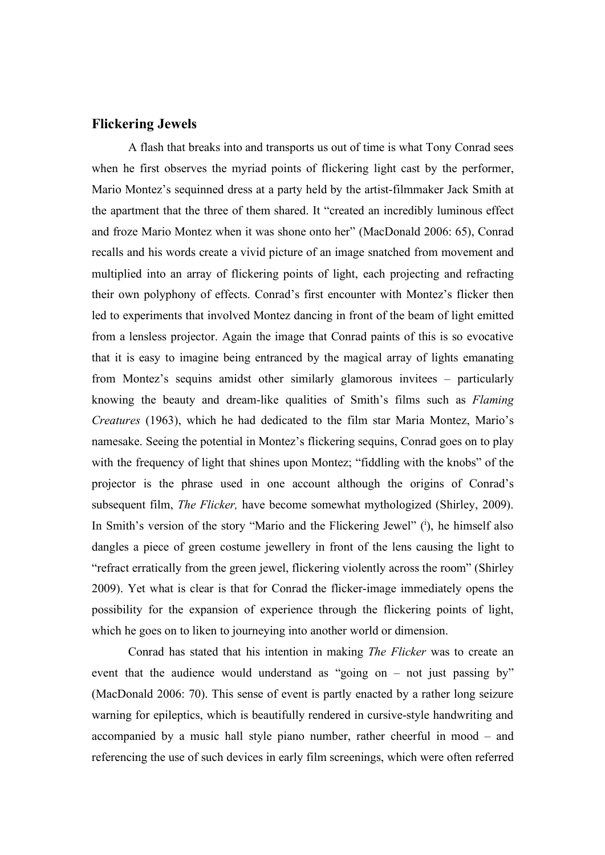# **Flickering Jewels**

A flash that breaks into and transports us out of time is what Tony Conrad sees when he first observes the myriad points of flickering light cast by the performer, Mario Montez's sequinned dress at a party held by the artist-filmmaker Jack Smith at the apartment that the three of them shared. It "created an incredibly luminous effect and froze Mario Montez when it was shone onto her" (MacDonald 2006: 65), Conrad recalls and his words create a vivid picture of an image snatched from movement and multiplied into an array of flickering points of light, each projecting and refracting their own polyphony of effects. Conrad's first encounter with Montez's flicker then led to experiments that involved Montez dancing in front of the beam of light emitted from a lensless projector. Again the image that Conrad paints of this is so evocative that it is easy to imagine being entranced by the magical array of lights emanating from Montez's sequins amidst other similarly glamorous invitees – particularly knowing the beauty and dream-like qualities of Smith's films such as *Flaming Creatures* (1963), which he had dedicated to the film star Maria Montez, Mario's namesake. Seeing the potential in Montez's flickering sequins, Conrad goes on to play with the frequency of light that shines upon Montez; "fiddling with the knobs" of the projector is the phrase used in one account although the origins of Conrad's subsequent film, *The Flicker,* have become somewhat mythologized (Shirley, 2009). In Smith's version of the story "Mario and the Flickering Jewel" (i), he himself also dangles a piece of green costume jewellery in front of the lens causing the light to "refract erratically from the green jewel, flickering violently across the room" (Shirley 2009). Yet what is clear is that for Conrad the flicker-image immediately opens the possibility for the expansion of experience through the flickering points of light, which he goes on to liken to journeying into another world or dimension.

Conrad has stated that his intention in making *The Flicker* was to create an event that the audience would understand as "going on – not just passing by" (MacDonald 2006: 70). This sense of event is partly enacted by a rather long seizure warning for epileptics, which is beautifully rendered in cursive-style handwriting and accompanied by a music hall style piano number, rather cheerful in mood – and referencing the use of such devices in early film screenings, which were often referred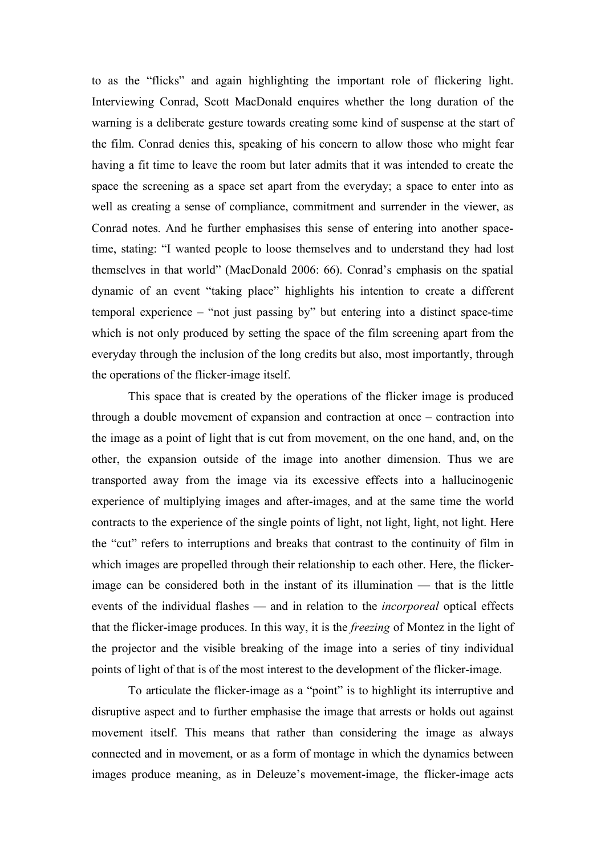to as the "flicks" and again highlighting the important role of flickering light. Interviewing Conrad, Scott MacDonald enquires whether the long duration of the warning is a deliberate gesture towards creating some kind of suspense at the start of the film. Conrad denies this, speaking of his concern to allow those who might fear having a fit time to leave the room but later admits that it was intended to create the space the screening as a space set apart from the everyday; a space to enter into as well as creating a sense of compliance, commitment and surrender in the viewer, as Conrad notes. And he further emphasises this sense of entering into another spacetime, stating: "I wanted people to loose themselves and to understand they had lost themselves in that world" (MacDonald 2006: 66). Conrad's emphasis on the spatial dynamic of an event "taking place" highlights his intention to create a different temporal experience – "not just passing by" but entering into a distinct space-time which is not only produced by setting the space of the film screening apart from the everyday through the inclusion of the long credits but also, most importantly, through the operations of the flicker-image itself.

This space that is created by the operations of the flicker image is produced through a double movement of expansion and contraction at once – contraction into the image as a point of light that is cut from movement, on the one hand, and, on the other, the expansion outside of the image into another dimension. Thus we are transported away from the image via its excessive effects into a hallucinogenic experience of multiplying images and after-images, and at the same time the world contracts to the experience of the single points of light, not light, light, not light. Here the "cut" refers to interruptions and breaks that contrast to the continuity of film in which images are propelled through their relationship to each other. Here, the flickerimage can be considered both in the instant of its illumination — that is the little events of the individual flashes — and in relation to the *incorporeal* optical effects that the flicker-image produces. In this way, it is the *freezing* of Montez in the light of the projector and the visible breaking of the image into a series of tiny individual points of light of that is of the most interest to the development of the flicker-image.

To articulate the flicker-image as a "point" is to highlight its interruptive and disruptive aspect and to further emphasise the image that arrests or holds out against movement itself. This means that rather than considering the image as always connected and in movement, or as a form of montage in which the dynamics between images produce meaning, as in Deleuze's movement-image, the flicker-image acts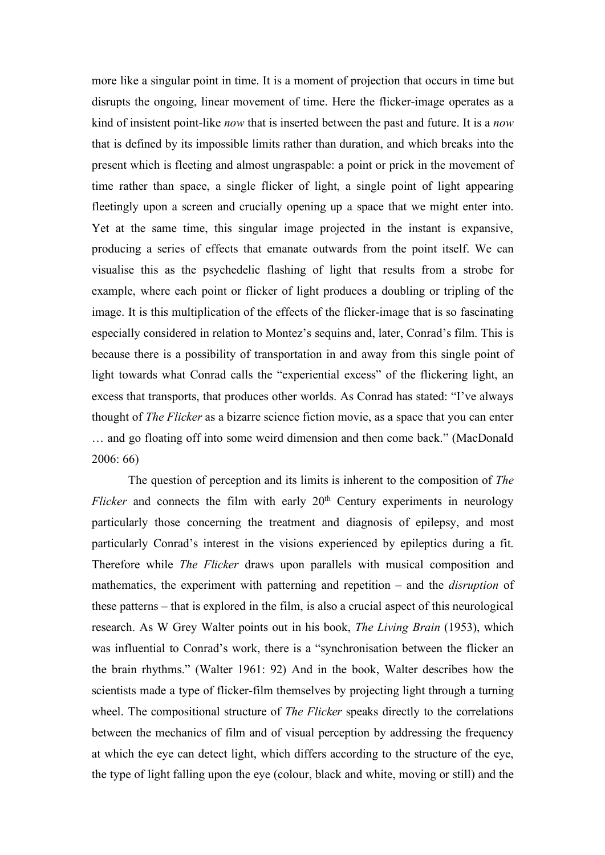more like a singular point in time. It is a moment of projection that occurs in time but disrupts the ongoing, linear movement of time. Here the flicker-image operates as a kind of insistent point-like *now* that is inserted between the past and future. It is a *now* that is defined by its impossible limits rather than duration, and which breaks into the present which is fleeting and almost ungraspable: a point or prick in the movement of time rather than space, a single flicker of light, a single point of light appearing fleetingly upon a screen and crucially opening up a space that we might enter into. Yet at the same time, this singular image projected in the instant is expansive, producing a series of effects that emanate outwards from the point itself. We can visualise this as the psychedelic flashing of light that results from a strobe for example, where each point or flicker of light produces a doubling or tripling of the image. It is this multiplication of the effects of the flicker-image that is so fascinating especially considered in relation to Montez's sequins and, later, Conrad's film. This is because there is a possibility of transportation in and away from this single point of light towards what Conrad calls the "experiential excess" of the flickering light, an excess that transports, that produces other worlds. As Conrad has stated: "I've always thought of *The Flicker* as a bizarre science fiction movie, as a space that you can enter … and go floating off into some weird dimension and then come back." (MacDonald 2006: 66)

The question of perception and its limits is inherent to the composition of *The Flicker* and connects the film with early 20<sup>th</sup> Century experiments in neurology particularly those concerning the treatment and diagnosis of epilepsy, and most particularly Conrad's interest in the visions experienced by epileptics during a fit. Therefore while *The Flicker* draws upon parallels with musical composition and mathematics, the experiment with patterning and repetition – and the *disruption* of these patterns – that is explored in the film, is also a crucial aspect of this neurological research. As W Grey Walter points out in his book, *The Living Brain* (1953), which was influential to Conrad's work, there is a "synchronisation between the flicker an the brain rhythms." (Walter 1961: 92) And in the book, Walter describes how the scientists made a type of flicker-film themselves by projecting light through a turning wheel. The compositional structure of *The Flicker* speaks directly to the correlations between the mechanics of film and of visual perception by addressing the frequency at which the eye can detect light, which differs according to the structure of the eye, the type of light falling upon the eye (colour, black and white, moving or still) and the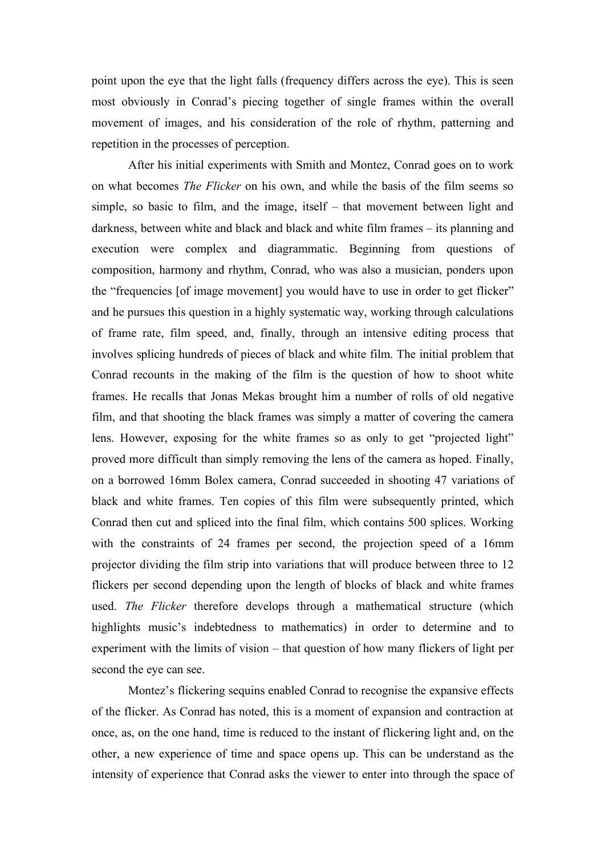point upon the eye that the light falls (frequency differs across the eye). This is seen most obviously in Conrad's piecing together of single frames within the overall movement of images, and his consideration of the role of rhythm, patterning and repetition in the processes of perception.

After his initial experiments with Smith and Montez, Conrad goes on to work on what becomes *The Flicker* on his own, and while the basis of the film seems so simple, so basic to film, and the image, itself – that movement between light and darkness, between white and black and black and white film frames – its planning and execution were complex and diagrammatic. Beginning from questions of composition, harmony and rhythm, Conrad, who was also a musician, ponders upon the "frequencies [of image movement] you would have to use in order to get flicker" and he pursues this question in a highly systematic way, working through calculations of frame rate, film speed, and, finally, through an intensive editing process that involves splicing hundreds of pieces of black and white film. The initial problem that Conrad recounts in the making of the film is the question of how to shoot white frames. He recalls that Jonas Mekas brought him a number of rolls of old negative film, and that shooting the black frames was simply a matter of covering the camera lens. However, exposing for the white frames so as only to get "projected light" proved more difficult than simply removing the lens of the camera as hoped. Finally, on a borrowed 16mm Bolex camera, Conrad succeeded in shooting 47 variations of black and white frames. Ten copies of this film were subsequently printed, which Conrad then cut and spliced into the final film, which contains 500 splices. Working with the constraints of 24 frames per second, the projection speed of a 16mm projector dividing the film strip into variations that will produce between three to 12 flickers per second depending upon the length of blocks of black and white frames used. *The Flicker* therefore develops through a mathematical structure (which highlights music's indebtedness to mathematics) in order to determine and to experiment with the limits of vision – that question of how many flickers of light per second the eye can see.

Montez's flickering sequins enabled Conrad to recognise the expansive effects of the flicker. As Conrad has noted, this is a moment of expansion and contraction at once, as, on the one hand, time is reduced to the instant of flickering light and, on the other, a new experience of time and space opens up. This can be understand as the intensity of experience that Conrad asks the viewer to enter into through the space of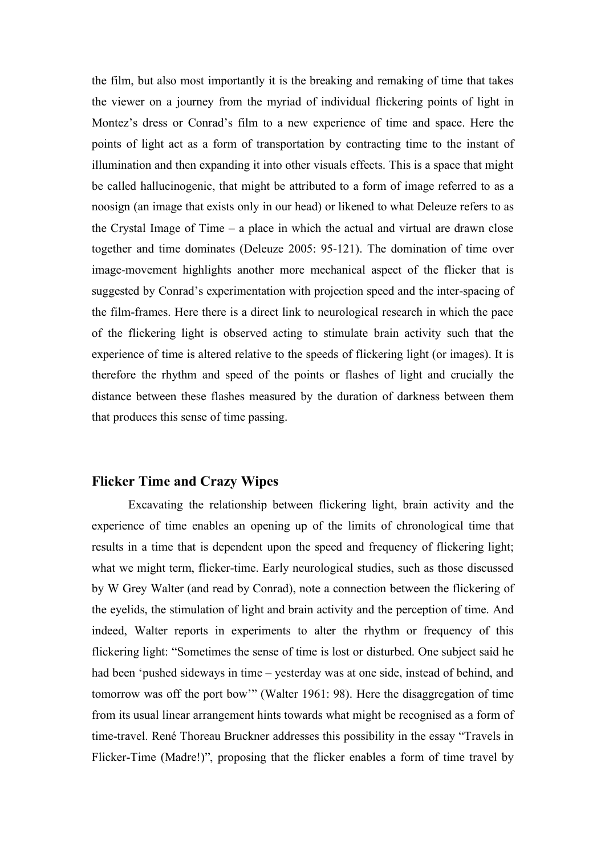the film, but also most importantly it is the breaking and remaking of time that takes the viewer on a journey from the myriad of individual flickering points of light in Montez's dress or Conrad's film to a new experience of time and space. Here the points of light act as a form of transportation by contracting time to the instant of illumination and then expanding it into other visuals effects. This is a space that might be called hallucinogenic, that might be attributed to a form of image referred to as a noosign (an image that exists only in our head) or likened to what Deleuze refers to as the Crystal Image of Time – a place in which the actual and virtual are drawn close together and time dominates (Deleuze 2005: 95-121). The domination of time over image-movement highlights another more mechanical aspect of the flicker that is suggested by Conrad's experimentation with projection speed and the inter-spacing of the film-frames. Here there is a direct link to neurological research in which the pace of the flickering light is observed acting to stimulate brain activity such that the experience of time is altered relative to the speeds of flickering light (or images). It is therefore the rhythm and speed of the points or flashes of light and crucially the distance between these flashes measured by the duration of darkness between them that produces this sense of time passing.

#### **Flicker Time and Crazy Wipes**

Excavating the relationship between flickering light, brain activity and the experience of time enables an opening up of the limits of chronological time that results in a time that is dependent upon the speed and frequency of flickering light; what we might term, flicker-time. Early neurological studies, such as those discussed by W Grey Walter (and read by Conrad), note a connection between the flickering of the eyelids, the stimulation of light and brain activity and the perception of time. And indeed, Walter reports in experiments to alter the rhythm or frequency of this flickering light: "Sometimes the sense of time is lost or disturbed. One subject said he had been 'pushed sideways in time – yesterday was at one side, instead of behind, and tomorrow was off the port bow'" (Walter 1961: 98). Here the disaggregation of time from its usual linear arrangement hints towards what might be recognised as a form of time-travel. René Thoreau Bruckner addresses this possibility in the essay "Travels in Flicker-Time (Madre!)", proposing that the flicker enables a form of time travel by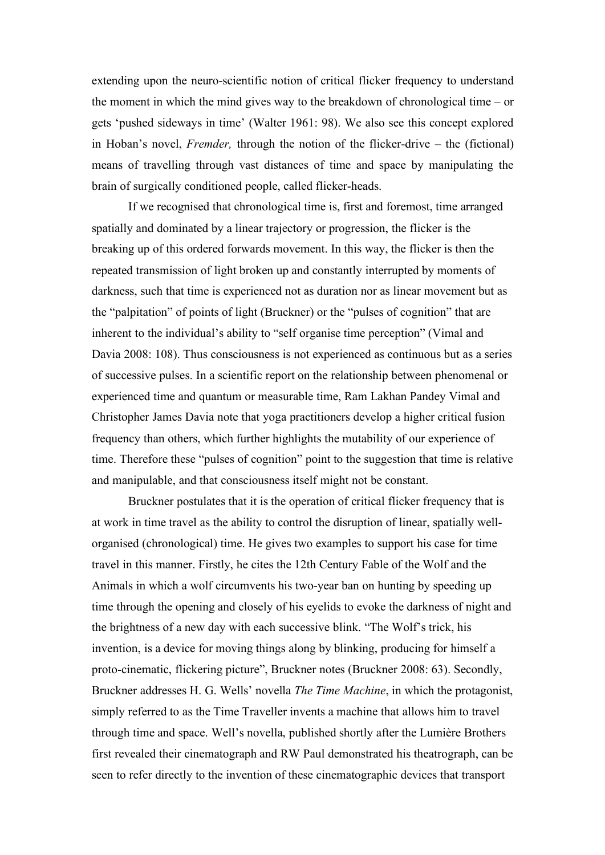extending upon the neuro-scientific notion of critical flicker frequency to understand the moment in which the mind gives way to the breakdown of chronological time – or gets 'pushed sideways in time' (Walter 1961: 98). We also see this concept explored in Hoban's novel, *Fremder,* through the notion of the flicker-drive – the (fictional) means of travelling through vast distances of time and space by manipulating the brain of surgically conditioned people, called flicker-heads.

If we recognised that chronological time is, first and foremost, time arranged spatially and dominated by a linear trajectory or progression, the flicker is the breaking up of this ordered forwards movement. In this way, the flicker is then the repeated transmission of light broken up and constantly interrupted by moments of darkness, such that time is experienced not as duration nor as linear movement but as the "palpitation" of points of light (Bruckner) or the "pulses of cognition" that are inherent to the individual's ability to "self organise time perception" (Vimal and Davia 2008: 108). Thus consciousness is not experienced as continuous but as a series of successive pulses. In a scientific report on the relationship between phenomenal or experienced time and quantum or measurable time, Ram Lakhan Pandey Vimal and Christopher James Davia note that yoga practitioners develop a higher critical fusion frequency than others, which further highlights the mutability of our experience of time. Therefore these "pulses of cognition" point to the suggestion that time is relative and manipulable, and that consciousness itself might not be constant.

Bruckner postulates that it is the operation of critical flicker frequency that is at work in time travel as the ability to control the disruption of linear, spatially wellorganised (chronological) time. He gives two examples to support his case for time travel in this manner. Firstly, he cites the 12th Century Fable of the Wolf and the Animals in which a wolf circumvents his two-year ban on hunting by speeding up time through the opening and closely of his eyelids to evoke the darkness of night and the brightness of a new day with each successive blink. "The Wolf's trick, his invention, is a device for moving things along by blinking, producing for himself a proto-cinematic, flickering picture", Bruckner notes (Bruckner 2008: 63). Secondly, Bruckner addresses H. G. Wells' novella *The Time Machine*, in which the protagonist, simply referred to as the Time Traveller invents a machine that allows him to travel through time and space. Well's novella, published shortly after the Lumière Brothers first revealed their cinematograph and RW Paul demonstrated his theatrograph, can be seen to refer directly to the invention of these cinematographic devices that transport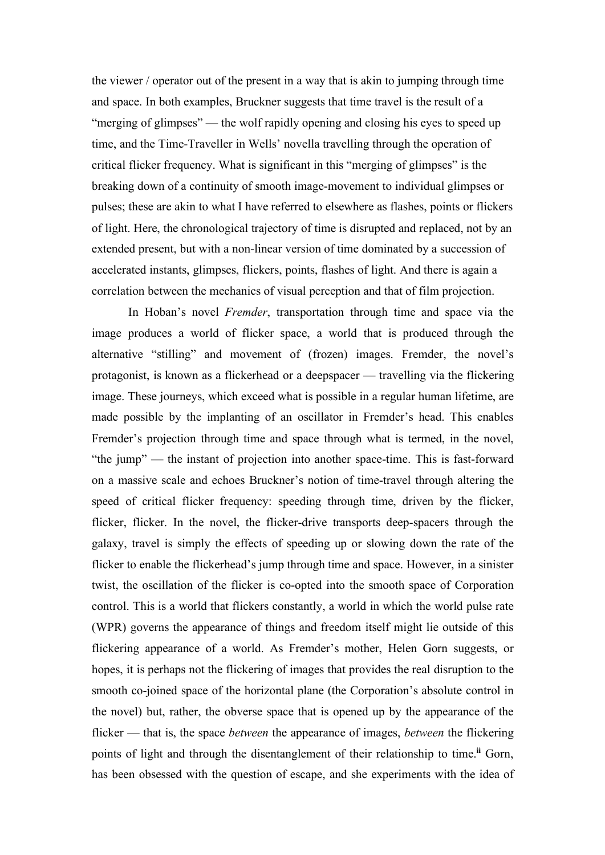the viewer / operator out of the present in a way that is akin to jumping through time and space. In both examples, Bruckner suggests that time travel is the result of a "merging of glimpses" — the wolf rapidly opening and closing his eyes to speed up time, and the Time-Traveller in Wells' novella travelling through the operation of critical flicker frequency. What is significant in this "merging of glimpses" is the breaking down of a continuity of smooth image-movement to individual glimpses or pulses; these are akin to what I have referred to elsewhere as flashes, points or flickers of light. Here, the chronological trajectory of time is disrupted and replaced, not by an extended present, but with a non-linear version of time dominated by a succession of accelerated instants, glimpses, flickers, points, flashes of light. And there is again a correlation between the mechanics of visual perception and that of film projection.

In Hoban's novel *Fremder*, transportation through time and space via the image produces a world of flicker space, a world that is produced through the alternative "stilling" and movement of (frozen) images. Fremder, the novel's protagonist, is known as a flickerhead or a deepspacer — travelling via the flickering image. These journeys, which exceed what is possible in a regular human lifetime, are made possible by the implanting of an oscillator in Fremder's head. This enables Fremder's projection through time and space through what is termed, in the novel, "the jump" — the instant of projection into another space-time. This is fast-forward on a massive scale and echoes Bruckner's notion of time-travel through altering the speed of critical flicker frequency: speeding through time, driven by the flicker, flicker, flicker. In the novel, the flicker-drive transports deep-spacers through the galaxy, travel is simply the effects of speeding up or slowing down the rate of the flicker to enable the flickerhead's jump through time and space. However, in a sinister twist, the oscillation of the flicker is co-opted into the smooth space of Corporation control. This is a world that flickers constantly, a world in which the world pulse rate (WPR) governs the appearance of things and freedom itself might lie outside of this flickering appearance of a world. As Fremder's mother, Helen Gorn suggests, or hopes, it is perhaps not the flickering of images that provides the real disruption to the smooth co-joined space of the horizontal plane (the Corporation's absolute control in the novel) but, rather, the obverse space that is opened up by the appearance of the flicker — that is, the space *between* the appearance of images, *between* the flickering points of light and through the disentanglement of their relationship to time.**ii** Gorn, has been obsessed with the question of escape, and she experiments with the idea of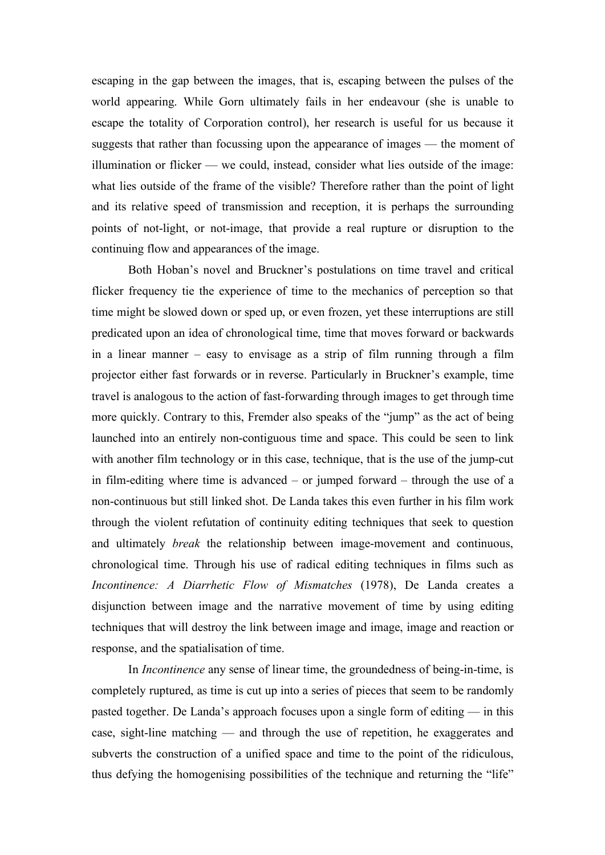escaping in the gap between the images, that is, escaping between the pulses of the world appearing. While Gorn ultimately fails in her endeavour (she is unable to escape the totality of Corporation control), her research is useful for us because it suggests that rather than focussing upon the appearance of images — the moment of illumination or flicker — we could, instead, consider what lies outside of the image: what lies outside of the frame of the visible? Therefore rather than the point of light and its relative speed of transmission and reception, it is perhaps the surrounding points of not-light, or not-image, that provide a real rupture or disruption to the continuing flow and appearances of the image.

Both Hoban's novel and Bruckner's postulations on time travel and critical flicker frequency tie the experience of time to the mechanics of perception so that time might be slowed down or sped up, or even frozen, yet these interruptions are still predicated upon an idea of chronological time, time that moves forward or backwards in a linear manner – easy to envisage as a strip of film running through a film projector either fast forwards or in reverse. Particularly in Bruckner's example, time travel is analogous to the action of fast-forwarding through images to get through time more quickly. Contrary to this, Fremder also speaks of the "jump" as the act of being launched into an entirely non-contiguous time and space. This could be seen to link with another film technology or in this case, technique, that is the use of the jump-cut in film-editing where time is advanced – or jumped forward – through the use of a non-continuous but still linked shot. De Landa takes this even further in his film work through the violent refutation of continuity editing techniques that seek to question and ultimately *break* the relationship between image-movement and continuous, chronological time. Through his use of radical editing techniques in films such as *Incontinence: A Diarrhetic Flow of Mismatches* (1978), De Landa creates a disjunction between image and the narrative movement of time by using editing techniques that will destroy the link between image and image, image and reaction or response, and the spatialisation of time.

In *Incontinence* any sense of linear time, the groundedness of being-in-time, is completely ruptured, as time is cut up into a series of pieces that seem to be randomly pasted together. De Landa's approach focuses upon a single form of editing — in this case, sight-line matching — and through the use of repetition, he exaggerates and subverts the construction of a unified space and time to the point of the ridiculous, thus defying the homogenising possibilities of the technique and returning the "life"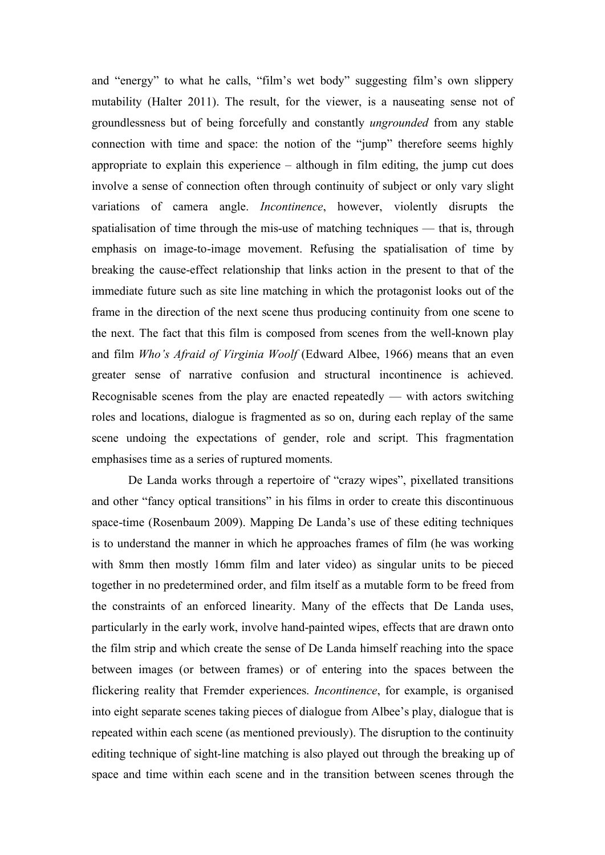and "energy" to what he calls, "film's wet body" suggesting film's own slippery mutability (Halter 2011). The result, for the viewer, is a nauseating sense not of groundlessness but of being forcefully and constantly *ungrounded* from any stable connection with time and space: the notion of the "jump" therefore seems highly appropriate to explain this experience – although in film editing, the jump cut does involve a sense of connection often through continuity of subject or only vary slight variations of camera angle. *Incontinence*, however, violently disrupts the spatialisation of time through the mis-use of matching techniques — that is, through emphasis on image-to-image movement. Refusing the spatialisation of time by breaking the cause-effect relationship that links action in the present to that of the immediate future such as site line matching in which the protagonist looks out of the frame in the direction of the next scene thus producing continuity from one scene to the next. The fact that this film is composed from scenes from the well-known play and film *Who's Afraid of Virginia Woolf* (Edward Albee, 1966) means that an even greater sense of narrative confusion and structural incontinence is achieved. Recognisable scenes from the play are enacted repeatedly — with actors switching roles and locations, dialogue is fragmented as so on, during each replay of the same scene undoing the expectations of gender, role and script. This fragmentation emphasises time as a series of ruptured moments.

De Landa works through a repertoire of "crazy wipes", pixellated transitions and other "fancy optical transitions" in his films in order to create this discontinuous space-time (Rosenbaum 2009). Mapping De Landa's use of these editing techniques is to understand the manner in which he approaches frames of film (he was working with 8mm then mostly 16mm film and later video) as singular units to be pieced together in no predetermined order, and film itself as a mutable form to be freed from the constraints of an enforced linearity. Many of the effects that De Landa uses, particularly in the early work, involve hand-painted wipes, effects that are drawn onto the film strip and which create the sense of De Landa himself reaching into the space between images (or between frames) or of entering into the spaces between the flickering reality that Fremder experiences. *Incontinence*, for example, is organised into eight separate scenes taking pieces of dialogue from Albee's play, dialogue that is repeated within each scene (as mentioned previously). The disruption to the continuity editing technique of sight-line matching is also played out through the breaking up of space and time within each scene and in the transition between scenes through the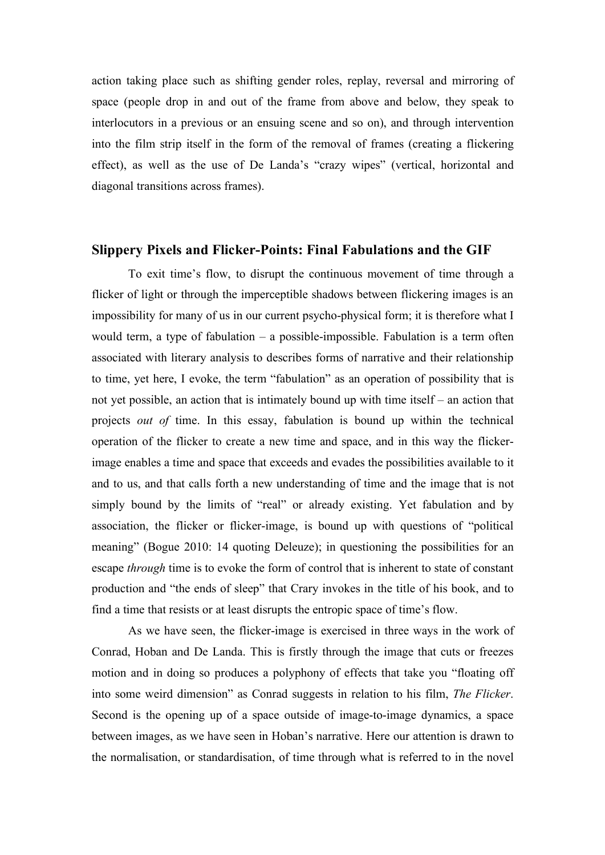action taking place such as shifting gender roles, replay, reversal and mirroring of space (people drop in and out of the frame from above and below, they speak to interlocutors in a previous or an ensuing scene and so on), and through intervention into the film strip itself in the form of the removal of frames (creating a flickering effect), as well as the use of De Landa's "crazy wipes" (vertical, horizontal and diagonal transitions across frames).

# **Slippery Pixels and Flicker-Points: Final Fabulations and the GIF**

To exit time's flow, to disrupt the continuous movement of time through a flicker of light or through the imperceptible shadows between flickering images is an impossibility for many of us in our current psycho-physical form; it is therefore what I would term, a type of fabulation – a possible-impossible. Fabulation is a term often associated with literary analysis to describes forms of narrative and their relationship to time, yet here, I evoke, the term "fabulation" as an operation of possibility that is not yet possible, an action that is intimately bound up with time itself – an action that projects *out of* time. In this essay, fabulation is bound up within the technical operation of the flicker to create a new time and space, and in this way the flickerimage enables a time and space that exceeds and evades the possibilities available to it and to us, and that calls forth a new understanding of time and the image that is not simply bound by the limits of "real" or already existing. Yet fabulation and by association, the flicker or flicker-image, is bound up with questions of "political meaning" (Bogue 2010: 14 quoting Deleuze); in questioning the possibilities for an escape *through* time is to evoke the form of control that is inherent to state of constant production and "the ends of sleep" that Crary invokes in the title of his book, and to find a time that resists or at least disrupts the entropic space of time's flow.

As we have seen, the flicker-image is exercised in three ways in the work of Conrad, Hoban and De Landa. This is firstly through the image that cuts or freezes motion and in doing so produces a polyphony of effects that take you "floating off into some weird dimension" as Conrad suggests in relation to his film, *The Flicker*. Second is the opening up of a space outside of image-to-image dynamics, a space between images, as we have seen in Hoban's narrative. Here our attention is drawn to the normalisation, or standardisation, of time through what is referred to in the novel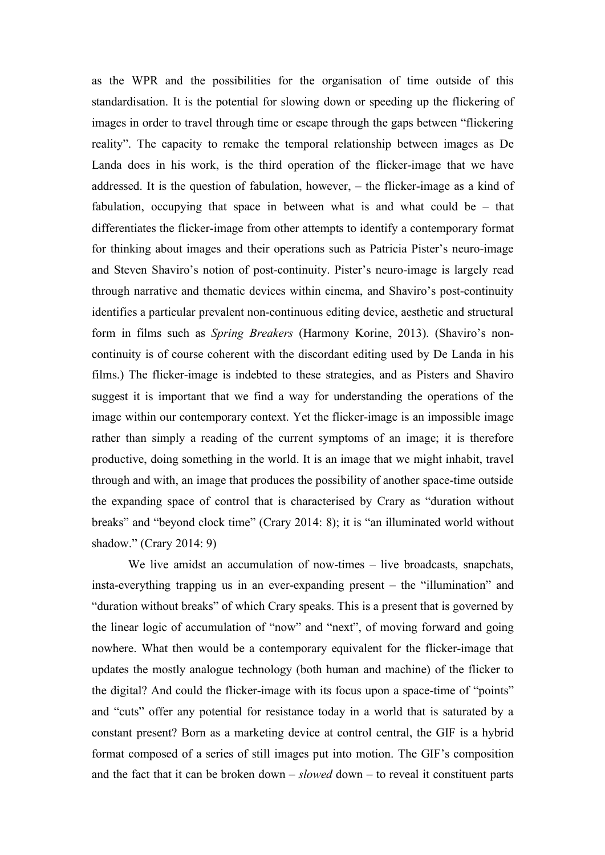as the WPR and the possibilities for the organisation of time outside of this standardisation. It is the potential for slowing down or speeding up the flickering of images in order to travel through time or escape through the gaps between "flickering reality". The capacity to remake the temporal relationship between images as De Landa does in his work, is the third operation of the flicker-image that we have addressed. It is the question of fabulation, however, – the flicker-image as a kind of fabulation, occupying that space in between what is and what could be – that differentiates the flicker-image from other attempts to identify a contemporary format for thinking about images and their operations such as Patricia Pister's neuro-image and Steven Shaviro's notion of post-continuity. Pister's neuro-image is largely read through narrative and thematic devices within cinema, and Shaviro's post-continuity identifies a particular prevalent non-continuous editing device, aesthetic and structural form in films such as *Spring Breakers* (Harmony Korine, 2013). (Shaviro's noncontinuity is of course coherent with the discordant editing used by De Landa in his films.) The flicker-image is indebted to these strategies, and as Pisters and Shaviro suggest it is important that we find a way for understanding the operations of the image within our contemporary context. Yet the flicker-image is an impossible image rather than simply a reading of the current symptoms of an image; it is therefore productive, doing something in the world. It is an image that we might inhabit, travel through and with, an image that produces the possibility of another space-time outside the expanding space of control that is characterised by Crary as "duration without breaks" and "beyond clock time" (Crary 2014: 8); it is "an illuminated world without shadow." (Crary 2014: 9)

We live amidst an accumulation of now-times – live broadcasts, snapchats, insta-everything trapping us in an ever-expanding present – the "illumination" and "duration without breaks" of which Crary speaks. This is a present that is governed by the linear logic of accumulation of "now" and "next", of moving forward and going nowhere. What then would be a contemporary equivalent for the flicker-image that updates the mostly analogue technology (both human and machine) of the flicker to the digital? And could the flicker-image with its focus upon a space-time of "points" and "cuts" offer any potential for resistance today in a world that is saturated by a constant present? Born as a marketing device at control central, the GIF is a hybrid format composed of a series of still images put into motion. The GIF's composition and the fact that it can be broken down – *slowed* down – to reveal it constituent parts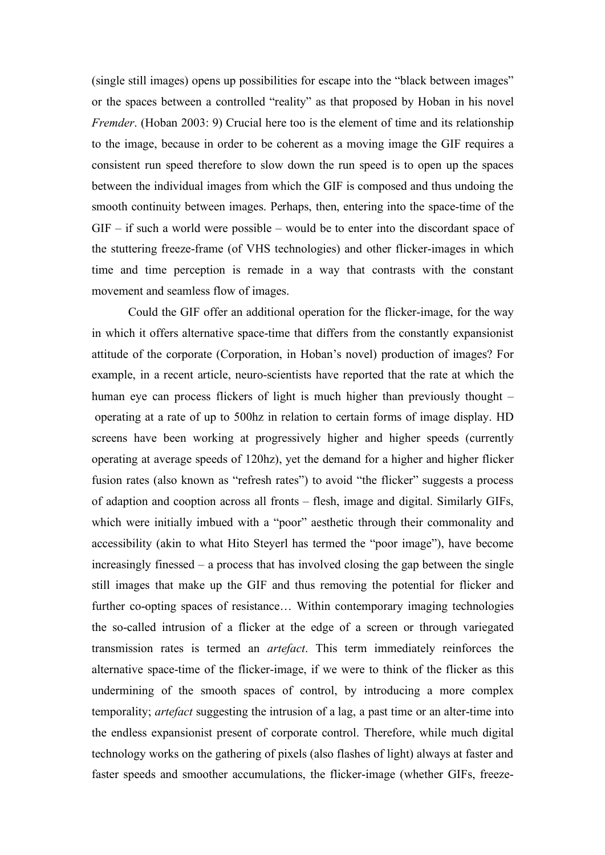(single still images) opens up possibilities for escape into the "black between images" or the spaces between a controlled "reality" as that proposed by Hoban in his novel *Fremder.* (Hoban 2003: 9) Crucial here too is the element of time and its relationship to the image, because in order to be coherent as a moving image the GIF requires a consistent run speed therefore to slow down the run speed is to open up the spaces between the individual images from which the GIF is composed and thus undoing the smooth continuity between images. Perhaps, then, entering into the space-time of the GIF – if such a world were possible – would be to enter into the discordant space of the stuttering freeze-frame (of VHS technologies) and other flicker-images in which time and time perception is remade in a way that contrasts with the constant movement and seamless flow of images.

Could the GIF offer an additional operation for the flicker-image, for the way in which it offers alternative space-time that differs from the constantly expansionist attitude of the corporate (Corporation, in Hoban's novel) production of images? For example, in a recent article, neuro-scientists have reported that the rate at which the human eye can process flickers of light is much higher than previously thought – operating at a rate of up to 500hz in relation to certain forms of image display. HD screens have been working at progressively higher and higher speeds (currently operating at average speeds of 120hz), yet the demand for a higher and higher flicker fusion rates (also known as "refresh rates") to avoid "the flicker" suggests a process of adaption and cooption across all fronts – flesh, image and digital. Similarly GIFs, which were initially imbued with a "poor" aesthetic through their commonality and accessibility (akin to what Hito Steyerl has termed the "poor image"), have become increasingly finessed – a process that has involved closing the gap between the single still images that make up the GIF and thus removing the potential for flicker and further co-opting spaces of resistance… Within contemporary imaging technologies the so-called intrusion of a flicker at the edge of a screen or through variegated transmission rates is termed an *artefact*. This term immediately reinforces the alternative space-time of the flicker-image, if we were to think of the flicker as this undermining of the smooth spaces of control, by introducing a more complex temporality; *artefact* suggesting the intrusion of a lag, a past time or an alter-time into the endless expansionist present of corporate control. Therefore, while much digital technology works on the gathering of pixels (also flashes of light) always at faster and faster speeds and smoother accumulations, the flicker-image (whether GIFs, freeze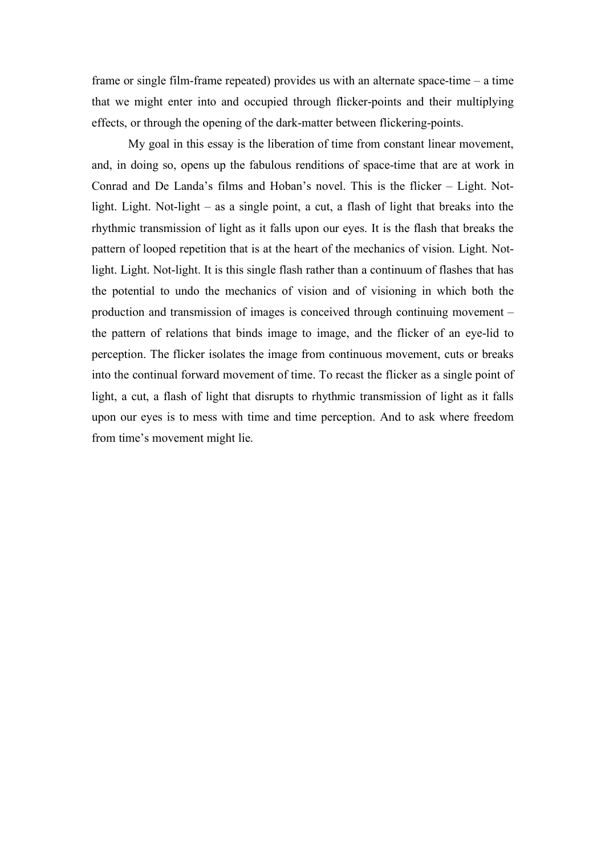frame or single film-frame repeated) provides us with an alternate space-time – a time that we might enter into and occupied through flicker-points and their multiplying effects, or through the opening of the dark-matter between flickering-points.

My goal in this essay is the liberation of time from constant linear movement, and, in doing so, opens up the fabulous renditions of space-time that are at work in Conrad and De Landa's films and Hoban's novel. This is the flicker – Light. Notlight. Light. Not-light – as a single point, a cut, a flash of light that breaks into the rhythmic transmission of light as it falls upon our eyes. It is the flash that breaks the pattern of looped repetition that is at the heart of the mechanics of vision. Light. Notlight. Light. Not-light. It is this single flash rather than a continuum of flashes that has the potential to undo the mechanics of vision and of visioning in which both the production and transmission of images is conceived through continuing movement – the pattern of relations that binds image to image, and the flicker of an eye-lid to perception. The flicker isolates the image from continuous movement, cuts or breaks into the continual forward movement of time. To recast the flicker as a single point of light, a cut, a flash of light that disrupts to rhythmic transmission of light as it falls upon our eyes is to mess with time and time perception. And to ask where freedom from time's movement might lie.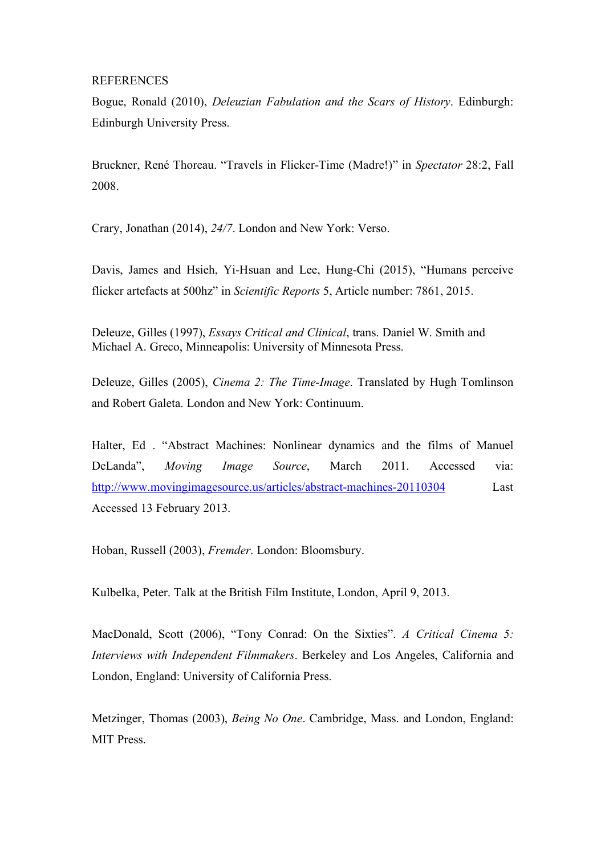#### **REFERENCES**

Bogue, Ronald (2010), *Deleuzian Fabulation and the Scars of History*. Edinburgh: Edinburgh University Press.

Bruckner, René Thoreau. "Travels in Flicker-Time (Madre!)" in *Spectator* 28:2, Fall 2008.

Crary, Jonathan (2014), *24/7*. London and New York: Verso.

Davis, James and Hsieh, Yi-Hsuan and Lee, Hung-Chi (2015), "Humans perceive flicker artefacts at 500hz" in *Scientific Reports* 5, Article number: 7861, 2015.

Deleuze, Gilles (1997), *Essays Critical and Clinical*, trans. Daniel W. Smith and Michael A. Greco, Minneapolis: University of Minnesota Press.

Deleuze, Gilles (2005), *Cinema 2: The Time-Image*. Translated by Hugh Tomlinson and Robert Galeta. London and New York: Continuum.

Halter, Ed . "Abstract Machines: Nonlinear dynamics and the films of Manuel DeLanda", *Moving Image Source*, March 2011. Accessed via: http://www.movingimagesource.us/articles/abstract-machines-20110304 Last Accessed 13 February 2013.

Hoban, Russell (2003), *Fremder*. London: Bloomsbury.

Kulbelka, Peter. Talk at the British Film Institute, London, April 9, 2013.

MacDonald, Scott (2006), "Tony Conrad: On the Sixties". *A Critical Cinema 5: Interviews with Independent Filmmakers*. Berkeley and Los Angeles, California and London, England: University of California Press.

Metzinger, Thomas (2003), *Being No One*. Cambridge, Mass. and London, England: MIT Press.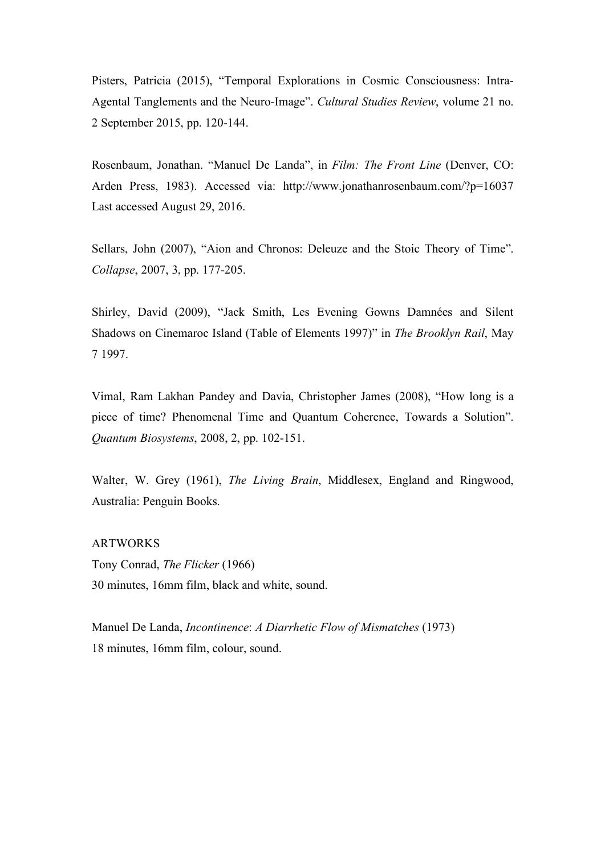Pisters, Patricia (2015), "Temporal Explorations in Cosmic Consciousness: Intra-Agental Tanglements and the Neuro-Image". *Cultural Studies Review*, volume 21 no. 2 September 2015, pp. 120-144.

Rosenbaum, Jonathan. "Manuel De Landa", in *Film: The Front Line* (Denver, CO: Arden Press, 1983). Accessed via: http://www.jonathanrosenbaum.com/?p=16037 Last accessed August 29, 2016.

Sellars, John (2007), "Aion and Chronos: Deleuze and the Stoic Theory of Time". *Collapse*, 2007, 3, pp. 177-205.

Shirley, David (2009), "Jack Smith, Les Evening Gowns Damnées and Silent Shadows on Cinemaroc Island (Table of Elements 1997)" in *The Brooklyn Rail*, May 7 1997.

Vimal, Ram Lakhan Pandey and Davia, Christopher James (2008), "How long is a piece of time? Phenomenal Time and Quantum Coherence, Towards a Solution". *Quantum Biosystems*, 2008, 2, pp. 102-151.

Walter, W. Grey (1961), *The Living Brain*, Middlesex, England and Ringwood, Australia: Penguin Books.

# ARTWORKS

Tony Conrad, *The Flicker* (1966) 30 minutes, 16mm film, black and white, sound.

Manuel De Landa, *Incontinence*: *A Diarrhetic Flow of Mismatches* (1973) 18 minutes, 16mm film, colour, sound.